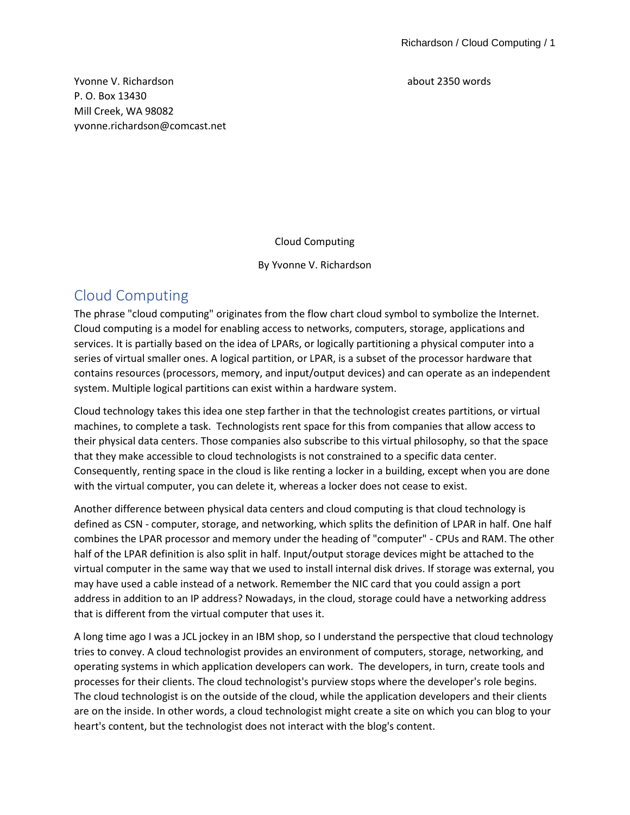Yvonne V. Richardson about 2350 words P. O. Box 13430 Mill Creek, WA 98082 yvonne.richardson@comcast.net

Cloud Computing

By Yvonne V. Richardson

# Cloud Computing

The phrase "cloud computing" originates from the flow chart cloud symbol to symbolize the Internet. Cloud computing is a model for enabling access to networks, computers, storage, applications and services. It is partially based on the idea of LPARs, or logically partitioning a physical computer into a series of virtual smaller ones. A logical partition, or LPAR, is a subset of the processor hardware that contains resources (processors, memory, and input/output devices) and can operate as an independent system. Multiple logical partitions can exist within a hardware system.

Cloud technology takes this idea one step farther in that the technologist creates partitions, or virtual machines, to complete a task. Technologists rent space for this from companies that allow access to their physical data centers. Those companies also subscribe to this virtual philosophy, so that the space that they make accessible to cloud technologists is not constrained to a specific data center. Consequently, renting space in the cloud is like renting a locker in a building, except when you are done with the virtual computer, you can delete it, whereas a locker does not cease to exist.

Another difference between physical data centers and cloud computing is that cloud technology is defined as CSN - computer, storage, and networking, which splits the definition of LPAR in half. One half combines the LPAR processor and memory under the heading of "computer" - CPUs and RAM. The other half of the LPAR definition is also split in half. Input/output storage devices might be attached to the virtual computer in the same way that we used to install internal disk drives. If storage was external, you may have used a cable instead of a network. Remember the NIC card that you could assign a port address in addition to an IP address? Nowadays, in the cloud, storage could have a networking address that is different from the virtual computer that uses it.

A long time ago I was a JCL jockey in an IBM shop, so I understand the perspective that cloud technology tries to convey. A cloud technologist provides an environment of computers, storage, networking, and operating systems in which application developers can work. The developers, in turn, create tools and processes for their clients. The cloud technologist's purview stops where the developer's role begins. The cloud technologist is on the outside of the cloud, while the application developers and their clients are on the inside. In other words, a cloud technologist might create a site on which you can blog to your heart's content, but the technologist does not interact with the blog's content.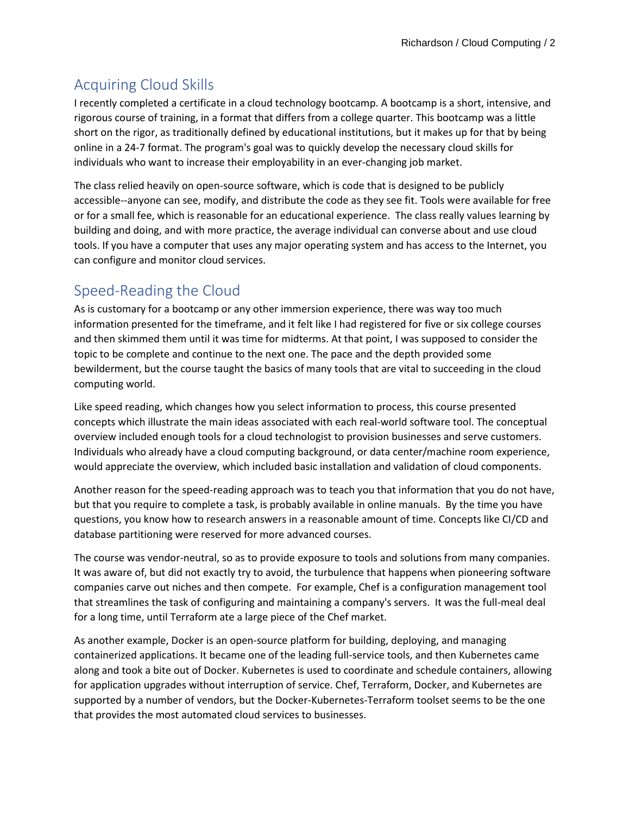# Acquiring Cloud Skills

I recently completed a certificate in a cloud technology bootcamp. A bootcamp is a short, intensive, and rigorous course of training, in a format that differs from a college quarter. This bootcamp was a little short on the rigor, as traditionally defined by educational institutions, but it makes up for that by being online in a 24-7 format. The program's goal was to quickly develop the necessary cloud skills for individuals who want to increase their employability in an ever-changing job market.

The class relied heavily on open-source software, which is code that is designed to be publicly accessible--anyone can see, modify, and distribute the code as they see fit. Tools were available for free or for a small fee, which is reasonable for an educational experience. The class really values learning by building and doing, and with more practice, the average individual can converse about and use cloud tools. If you have a computer that uses any major operating system and has access to the Internet, you can configure and monitor cloud services.

# Speed-Reading the Cloud

As is customary for a bootcamp or any other immersion experience, there was way too much information presented for the timeframe, and it felt like I had registered for five or six college courses and then skimmed them until it was time for midterms. At that point, I was supposed to consider the topic to be complete and continue to the next one. The pace and the depth provided some bewilderment, but the course taught the basics of many tools that are vital to succeeding in the cloud computing world.

Like speed reading, which changes how you select information to process, this course presented concepts which illustrate the main ideas associated with each real-world software tool. The conceptual overview included enough tools for a cloud technologist to provision businesses and serve customers. Individuals who already have a cloud computing background, or data center/machine room experience, would appreciate the overview, which included basic installation and validation of cloud components.

Another reason for the speed-reading approach was to teach you that information that you do not have, but that you require to complete a task, is probably available in online manuals. By the time you have questions, you know how to research answers in a reasonable amount of time. Concepts like CI/CD and database partitioning were reserved for more advanced courses.

The course was vendor-neutral, so as to provide exposure to tools and solutions from many companies. It was aware of, but did not exactly try to avoid, the turbulence that happens when pioneering software companies carve out niches and then compete. For example, Chef is a configuration management tool that streamlines the task of configuring and maintaining a company's servers. It was the full-meal deal for a long time, until Terraform ate a large piece of the Chef market.

As another example, Docker is an open-source platform for building, deploying, and managing containerized applications. It became one of the leading full-service tools, and then Kubernetes came along and took a bite out of Docker. Kubernetes is used to coordinate and schedule containers, allowing for application upgrades without interruption of service. Chef, Terraform, Docker, and Kubernetes are supported by a number of vendors, but the Docker-Kubernetes-Terraform toolset seems to be the one that provides the most automated cloud services to businesses.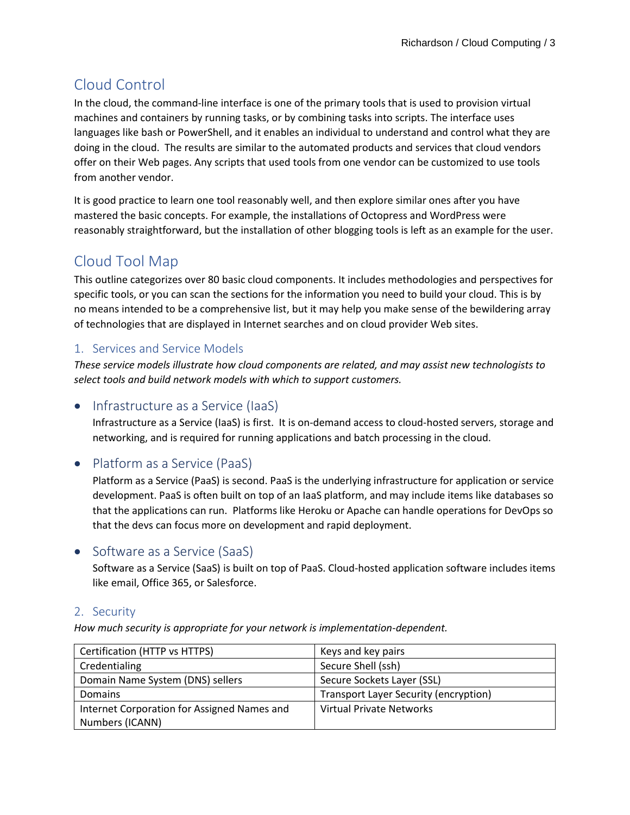# Cloud Control

In the cloud, the command-line interface is one of the primary tools that is used to provision virtual machines and containers by running tasks, or by combining tasks into scripts. The interface uses languages like bash or PowerShell, and it enables an individual to understand and control what they are doing in the cloud. The results are similar to the automated products and services that cloud vendors offer on their Web pages. Any scripts that used tools from one vendor can be customized to use tools from another vendor.

It is good practice to learn one tool reasonably well, and then explore similar ones after you have mastered the basic concepts. For example, the installations of Octopress and WordPress were reasonably straightforward, but the installation of other blogging tools is left as an example for the user.

# Cloud Tool Map

This outline categorizes over 80 basic cloud components. It includes methodologies and perspectives for specific tools, or you can scan the sections for the information you need to build your cloud. This is by no means intended to be a comprehensive list, but it may help you make sense of the bewildering array of technologies that are displayed in Internet searches and on cloud provider Web sites.

## 1. Services and Service Models

*These service models illustrate how cloud components are related, and may assist new technologists to select tools and build network models with which to support customers.*

## • Infrastructure as a Service (IaaS)

Infrastructure as a Service (IaaS) is first. It is on-demand access to cloud-hosted servers, storage and networking, and is required for running applications and batch processing in the cloud.

## • Platform as a Service (PaaS)

Platform as a Service (PaaS) is second. PaaS is the underlying infrastructure for application or service development. PaaS is often built on top of an IaaS platform, and may include items like databases so that the applications can run. Platforms like Heroku or Apache can handle operations for DevOps so that the devs can focus more on development and rapid deployment.

## • Software as a Service (SaaS)

Software as a Service (SaaS) is built on top of PaaS. Cloud-hosted application software includes items like email, Office 365, or Salesforce.

## 2. Security

*How much security is appropriate for your network is implementation-dependent.*

| Certification (HTTP vs HTTPS)               | Keys and key pairs                    |
|---------------------------------------------|---------------------------------------|
| Credentialing                               | Secure Shell (ssh)                    |
| Domain Name System (DNS) sellers            | Secure Sockets Layer (SSL)            |
| <b>Domains</b>                              | Transport Layer Security (encryption) |
| Internet Corporation for Assigned Names and | Virtual Private Networks              |
| Numbers (ICANN)                             |                                       |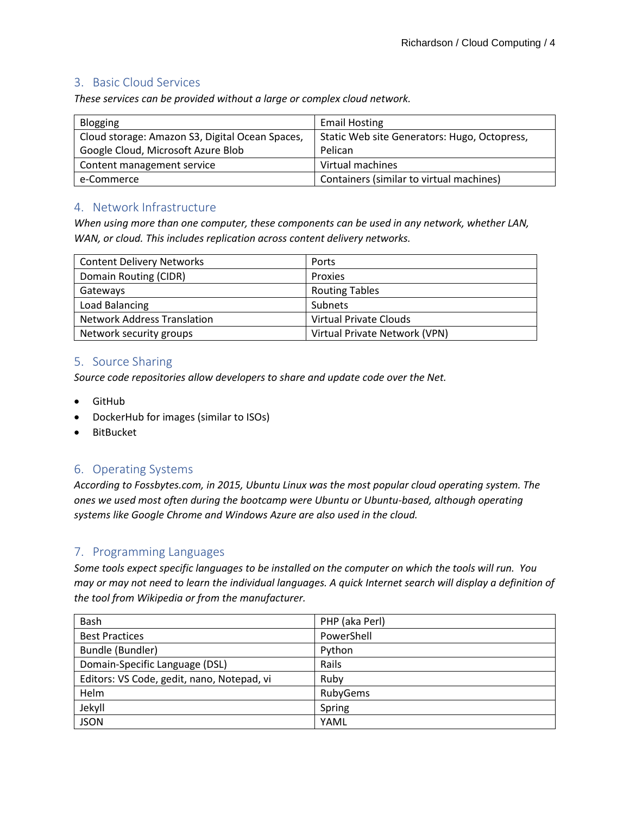#### 3. Basic Cloud Services

*These services can be provided without a large or complex cloud network.*

| <b>Blogging</b>                                 | <b>Email Hosting</b>                         |
|-------------------------------------------------|----------------------------------------------|
| Cloud storage: Amazon S3, Digital Ocean Spaces, | Static Web site Generators: Hugo, Octopress, |
| Google Cloud, Microsoft Azure Blob              | Pelican                                      |
| Content management service                      | Virtual machines                             |
| e-Commerce                                      | Containers (similar to virtual machines)     |

#### 4. Network Infrastructure

*When using more than one computer, these components can be used in any network, whether LAN, WAN, or cloud. This includes replication across content delivery networks.*

| <b>Content Delivery Networks</b>   | Ports                         |
|------------------------------------|-------------------------------|
| Domain Routing (CIDR)              | Proxies                       |
| Gateways                           | <b>Routing Tables</b>         |
| Load Balancing                     | Subnets                       |
| <b>Network Address Translation</b> | Virtual Private Clouds        |
| Network security groups            | Virtual Private Network (VPN) |

#### 5. Source Sharing

*Source code repositories allow developers to share and update code over the Net.*

- GitHub
- DockerHub for images (similar to ISOs)
- BitBucket

#### 6. Operating Systems

*According to Fossbytes.com, in 2015, Ubuntu Linux was the most popular cloud operating system. The ones we used most often during the bootcamp were Ubuntu or Ubuntu-based, although operating systems like Google Chrome and Windows Azure are also used in the cloud.*

## 7. Programming Languages

*Some tools expect specific languages to be installed on the computer on which the tools will run. You may or may not need to learn the individual languages. A quick Internet search will display a definition of the tool from Wikipedia or from the manufacturer.*

| Bash                                       | PHP (aka Perl) |
|--------------------------------------------|----------------|
| <b>Best Practices</b>                      | PowerShell     |
| Bundle (Bundler)                           | Python         |
| Domain-Specific Language (DSL)             | Rails          |
| Editors: VS Code, gedit, nano, Notepad, vi | Ruby           |
| Helm                                       | RubyGems       |
| Jekyll                                     | Spring         |
| <b>JSON</b>                                | YAML           |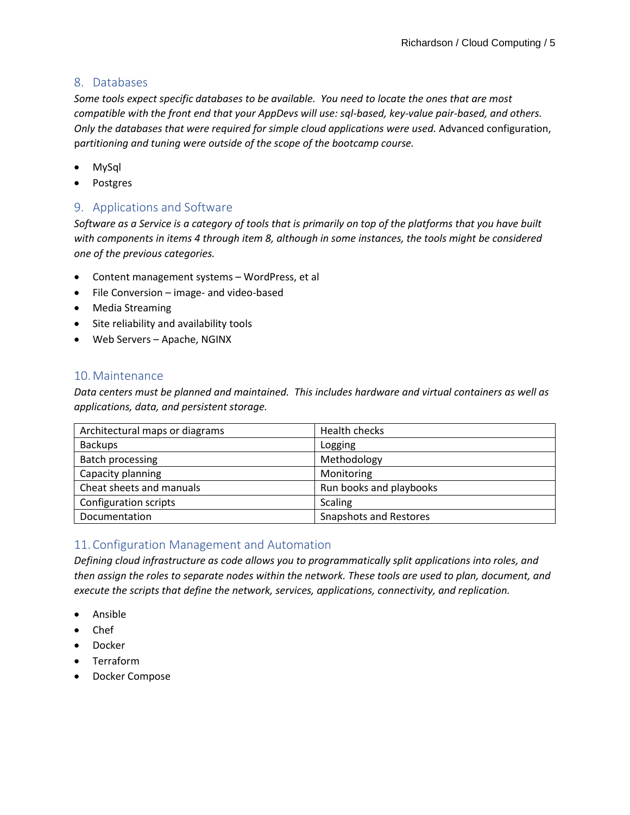### 8. Databases

*Some tools expect specific databases to be available. You need to locate the ones that are most compatible with the front end that your AppDevs will use: sql-based, key-value pair-based, and others. Only the databases that were required for simple cloud applications were used.* Advanced configuration, p*artitioning and tuning were outside of the scope of the bootcamp course.*

- MySql
- **Postgres**

## 9. Applications and Software

*Software as a Service is a category of tools that is primarily on top of the platforms that you have built with components in items 4 through item 8, although in some instances, the tools might be considered one of the previous categories.*

- Content management systems WordPress, et al
- File Conversion image- and video-based
- Media Streaming
- Site reliability and availability tools
- Web Servers Apache, NGINX

## 10.Maintenance

*Data centers must be planned and maintained. This includes hardware and virtual containers as well as applications, data, and persistent storage.*

| Architectural maps or diagrams | Health checks                 |
|--------------------------------|-------------------------------|
| <b>Backups</b>                 | Logging                       |
| Batch processing               | Methodology                   |
| Capacity planning              | Monitoring                    |
| Cheat sheets and manuals       | Run books and playbooks       |
| Configuration scripts          | <b>Scaling</b>                |
| Documentation                  | <b>Snapshots and Restores</b> |

## 11.Configuration Management and Automation

*Defining cloud infrastructure as code allows you to programmatically split applications into roles, and then assign the roles to separate nodes within the network. These tools are used to plan, document, and execute the scripts that define the network, services, applications, connectivity, and replication.*

- Ansible
- Chef
- Docker
- Terraform
- Docker Compose